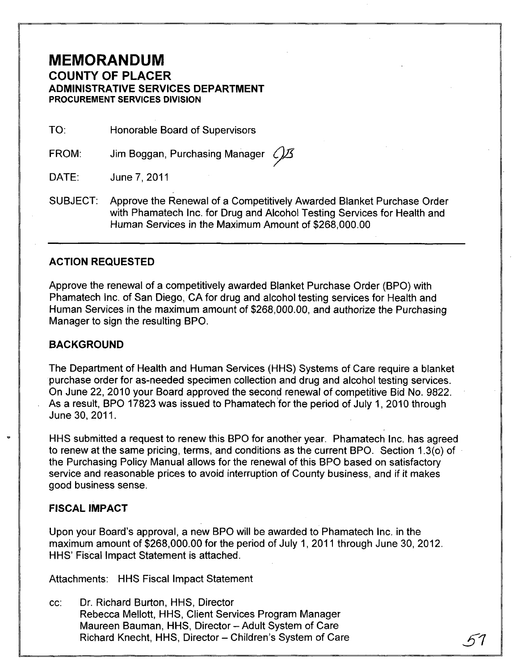## **MEMORANDUM COUNTY OF PLACER ADMINISTRATIVE SERVICES DEPARTMENT PROCUREMENT SERVICES DIVISION**

TO: Honorable Board of Supervisors

FROM: Jim Boggan, Purchasing Manager  $\mathcal{L}/\mathcal{L}$ 

DATE: June 7, 2011

SUBJECT: Approve the Renewal of a Competitively Awarded Blanket Purchase Order with Phamatech Inc. for Drug and Alcohol Testing Services for Health and Human Services in the Maximum Amount of \$268,000.00

### **ACTION REQUESTED**

Approve the renewal of a competitively awarded Blanket Purchase Order (BPO) with Phamatech Inc. of San Diego, CA for drug and alcohol testing services for Health and Human Services in the maximum amount of \$268,000.00, and authorize the Purchasing Manager to sign the resulting BPO.

#### **BACKGROUND**

The Department of Health and Human Services (HHS) Systems of Care require a blanket purchase order for as-needed specimen collection and drug and alcohol testing services. On June 22,2010 your Board approved the second renewal of competitive Bid No. 9822. As a result, BPO 17823 was issued to Phamatech 'for the period of July 1, 2010 through June 30, 2011.

HHS submitted a request to renew this BPO for another year. Phamatech Inc. has agreed to renew at the same pricing, terms, and conditions as the current BPO. Section 1.3(0) of the Purchasing Policy Manual allows for the renewal of this BPO based on satisfactory service and reasonable prices to avoid interruption of County business, and if it makes good business sense.

#### **FISCAL IMPACT**

Upon your Board's approval, a new BPO will be awarded to Phamatech Inc. in the maximum amount of \$268,000.00 for the period of July 1,2011 through June 30, 2012. HHS' Fiscal Impact Statement is attached.

Attachments: HHS Fiscal Impact Statement

cc: Dr. Richard Burton, HHS, Director Rebecca Mellott, HHS, Client Services Program Manager Maureen Bauman, HHS, Director - Adult System of Care Richard Knecht, HHS, Director - Children's System of Care